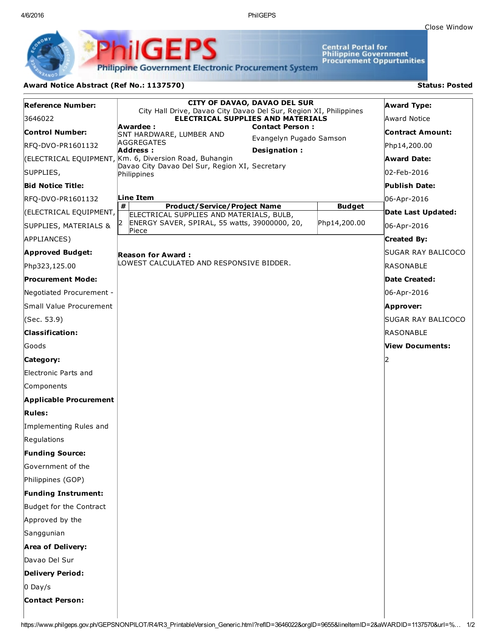4/6/2016 PhilGEPS

Central Portal for<br>Philippine Government<br>Procurement Oppurtunities

**Philippine Government Electronic Procurement System** 

PS

## Award Notice Abstract (Ref No.: 1137570) Status: Posted

PhilGEI

| <b>Reference Number:</b>      | <b>CITY OF DAVAO, DAVAO DEL SUR</b><br>City Hall Drive, Davao City Davao Del Sur, Region XI, Philippines |                         |               | <b>Award Type:</b> |
|-------------------------------|----------------------------------------------------------------------------------------------------------|-------------------------|---------------|--------------------|
| 3646022                       | <b>ELECTRICAL SUPPLIES AND MATERIALS</b><br>Awardee :<br><b>Contact Person:</b>                          |                         | Award Notice  |                    |
| Control Number:               | SNT HARDWARE, LUMBER AND                                                                                 | Evangelyn Pugado Samson |               | Contract Amount:   |
| RFQ-DVO-PR1601132             | <b>AGGREGATES</b><br>Address:<br>Designation:                                                            |                         |               | Php14,200.00       |
|                               | (ELECTRICAL EQUIPMENT, Km. 6, Diversion Road, Buhangin<br>Davao City Davao Del Sur, Region XI, Secretary |                         |               | Award Date:        |
| SUPPLIES,                     | Philippines                                                                                              |                         |               | 02-Feb-2016        |
| <b>Bid Notice Title:</b>      |                                                                                                          |                         |               | Publish Date:      |
| RFQ-DVO-PR1601132             | Line Item<br>#<br><b>Product/Service/Project Name</b>                                                    |                         | <b>Budget</b> | 06-Apr-2016        |
| (ELECTRICAL EQUIPMENT,        | ELECTRICAL SUPPLIES AND MATERIALS, BULB,                                                                 |                         |               | Date Last Updated: |
| SUPPLIES, MATERIALS &         | ENERGY SAVER, SPIRAL, 55 watts, 39000000, 20,<br>Piece                                                   |                         | Php14,200.00  | 06-Apr-2016        |
| APPLIANCES)                   |                                                                                                          |                         |               | <b>Created By:</b> |
| <b>Approved Budget:</b>       | Reason for Award :                                                                                       |                         |               | SUGAR RAY BALICOCO |
| Php323,125.00                 | LOWEST CALCULATED AND RESPONSIVE BIDDER.                                                                 |                         |               | RASONABLE          |
| Procurement Mode:             |                                                                                                          |                         |               | Date Created:      |
| Negotiated Procurement -      |                                                                                                          |                         |               | 06-Apr-2016        |
| Small Value Procurement       |                                                                                                          |                         |               | Approver:          |
| (Sec. 53.9)                   |                                                                                                          |                         |               | SUGAR RAY BALICOCO |
| <b>Classification:</b>        |                                                                                                          |                         |               | RASONABLE          |
| Goods                         |                                                                                                          |                         |               | View Documents:    |
| Category:                     |                                                                                                          |                         |               |                    |
| Electronic Parts and          |                                                                                                          |                         |               |                    |
| Components                    |                                                                                                          |                         |               |                    |
| <b>Applicable Procurement</b> |                                                                                                          |                         |               |                    |
| <b>Rules:</b>                 |                                                                                                          |                         |               |                    |
| Implementing Rules and        |                                                                                                          |                         |               |                    |
| Regulations                   |                                                                                                          |                         |               |                    |
| <b>Funding Source:</b>        |                                                                                                          |                         |               |                    |
| Government of the             |                                                                                                          |                         |               |                    |
| Philippines (GOP)             |                                                                                                          |                         |               |                    |
| <b>Funding Instrument:</b>    |                                                                                                          |                         |               |                    |
| Budget for the Contract       |                                                                                                          |                         |               |                    |
| Approved by the               |                                                                                                          |                         |               |                    |
| Sanggunian                    |                                                                                                          |                         |               |                    |
| <b>Area of Delivery:</b>      |                                                                                                          |                         |               |                    |
| Davao Del Sur                 |                                                                                                          |                         |               |                    |
| <b>Delivery Period:</b>       |                                                                                                          |                         |               |                    |
| $0$ Day/s                     |                                                                                                          |                         |               |                    |
| <b>Contact Person:</b>        |                                                                                                          |                         |               |                    |
|                               |                                                                                                          |                         |               |                    |